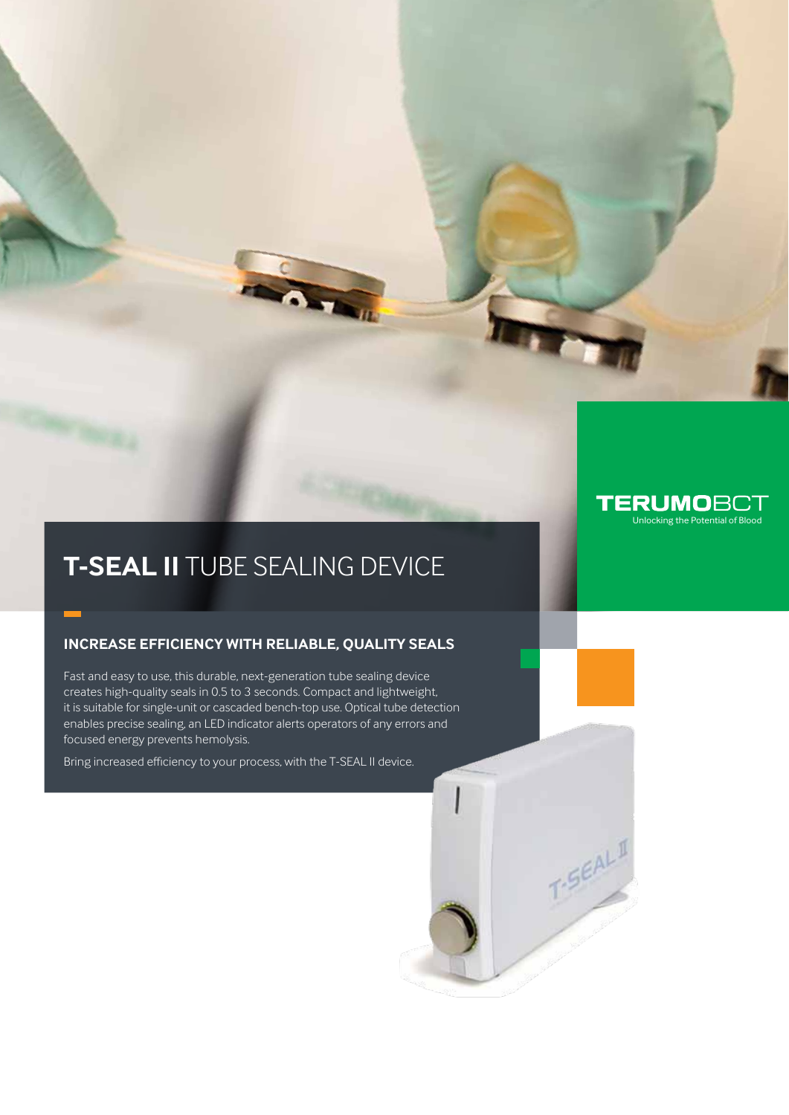### **TERUMOBCT** Unlocking the Potential of Blood

T-SEAL II

# **T-SEAL II** TUBE SEALING DEVICE

### **Increase efficiency with reliable, quality seals**

Fast and easy to use, this durable, next-generation tube sealing device creates high-quality seals in 0.5 to 3 seconds. Compact and lightweight, it is suitable for single-unit or cascaded bench-top use. Optical tube detection enables precise sealing, an LED indicator alerts operators of any errors and focused energy prevents hemolysis.

Bring increased efficiency to your process, with the T-SEAL II device.